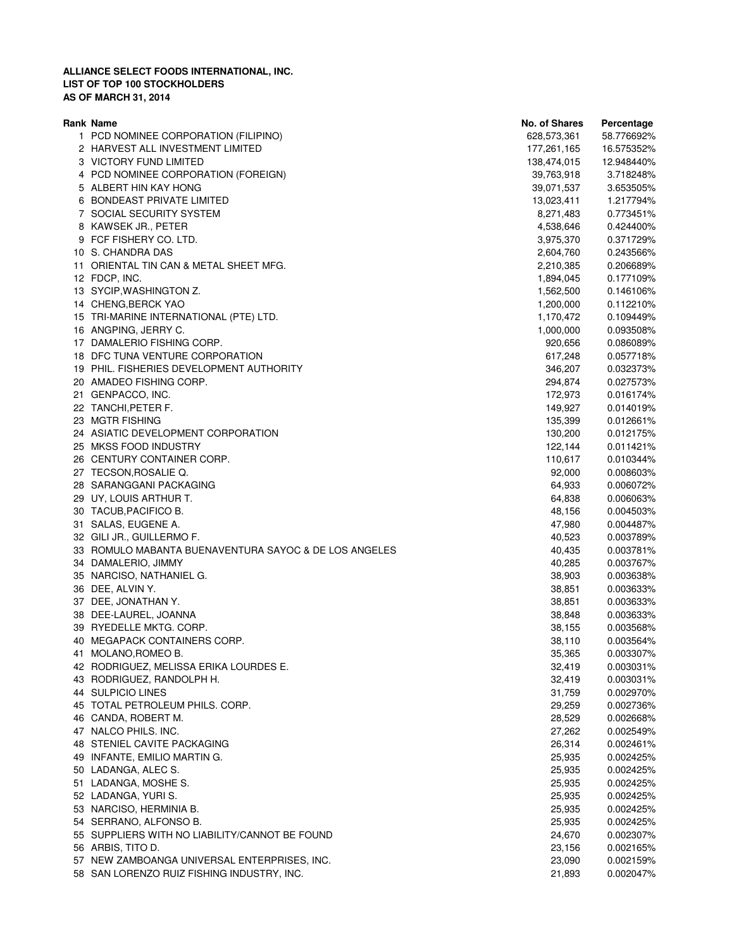| Rank Name                                             | No. of Shares | Percentage |
|-------------------------------------------------------|---------------|------------|
| 1 PCD NOMINEE CORPORATION (FILIPINO)                  | 628,573,361   | 58.776692% |
| 2 HARVEST ALL INVESTMENT LIMITED                      | 177,261,165   | 16.575352% |
| 3 VICTORY FUND LIMITED                                | 138,474,015   | 12.948440% |
| 4 PCD NOMINEE CORPORATION (FOREIGN)                   | 39,763,918    | 3.718248%  |
| 5 ALBERT HIN KAY HONG                                 | 39,071,537    | 3.653505%  |
| 6 BONDEAST PRIVATE LIMITED                            | 13,023,411    | 1.217794%  |
| 7 SOCIAL SECURITY SYSTEM                              | 8,271,483     | 0.773451%  |
| 8 KAWSEK JR., PETER                                   | 4,538,646     | 0.424400%  |
| 9 FCF FISHERY CO. LTD.                                | 3,975,370     | 0.371729%  |
| 10 S. CHANDRA DAS                                     | 2,604,760     | 0.243566%  |
| 11 ORIENTAL TIN CAN & METAL SHEET MFG.                | 2,210,385     | 0.206689%  |
| 12 FDCP, INC.                                         | 1,894,045     | 0.177109%  |
| 13 SYCIP, WASHINGTON Z.                               | 1,562,500     | 0.146106%  |
| 14 CHENG, BERCK YAO                                   | 1,200,000     | 0.112210%  |
| 15 TRI-MARINE INTERNATIONAL (PTE) LTD.                | 1,170,472     | 0.109449%  |
| 16 ANGPING, JERRY C.                                  | 1,000,000     | 0.093508%  |
| 17 DAMALERIO FISHING CORP.                            | 920,656       | 0.086089%  |
| 18 DFC TUNA VENTURE CORPORATION                       | 617,248       | 0.057718%  |
| 19 PHIL. FISHERIES DEVELOPMENT AUTHORITY              | 346,207       | 0.032373%  |
|                                                       |               |            |
| 20 AMADEO FISHING CORP.                               | 294,874       | 0.027573%  |
| 21 GENPACCO, INC.                                     | 172,973       | 0.016174%  |
| 22 TANCHI, PETER F.                                   | 149,927       | 0.014019%  |
| 23 MGTR FISHING                                       | 135,399       | 0.012661%  |
| 24 ASIATIC DEVELOPMENT CORPORATION                    | 130,200       | 0.012175%  |
| 25 MKSS FOOD INDUSTRY                                 | 122,144       | 0.011421%  |
| 26 CENTURY CONTAINER CORP.                            | 110,617       | 0.010344%  |
| 27 TECSON, ROSALIE Q.                                 | 92,000        | 0.008603%  |
| 28 SARANGGANI PACKAGING                               | 64,933        | 0.006072%  |
| 29 UY, LOUIS ARTHUR T.                                | 64,838        | 0.006063%  |
| 30 TACUB, PACIFICO B.                                 | 48,156        | 0.004503%  |
| 31 SALAS, EUGENE A.                                   | 47,980        | 0.004487%  |
| 32 GILI JR., GUILLERMO F.                             | 40,523        | 0.003789%  |
| 33 ROMULO MABANTA BUENAVENTURA SAYOC & DE LOS ANGELES | 40,435        | 0.003781%  |
| 34 DAMALERIO, JIMMY                                   | 40,285        | 0.003767%  |
| 35 NARCISO, NATHANIEL G.                              | 38,903        | 0.003638%  |
| 36 DEE, ALVIN Y.                                      | 38,851        | 0.003633%  |
| 37 DEE, JONATHAN Y.                                   | 38,851        | 0.003633%  |
| 38 DEE-LAUREL, JOANNA                                 | 38,848        | 0.003633%  |
| 39 RYEDELLE MKTG. CORP.                               | 38,155        | 0.003568%  |
| 40 MEGAPACK CONTAINERS CORP.                          | 38,110        | 0.003564%  |
| 41 MOLANO, ROMEO B.                                   | 35,365        | 0.003307%  |
| 42 RODRIGUEZ, MELISSA ERIKA LOURDES E.                | 32,419        | 0.003031%  |
| 43 RODRIGUEZ, RANDOLPH H.                             | 32,419        | 0.003031%  |
| 44 SULPICIO LINES                                     | 31,759        | 0.002970%  |
| 45 TOTAL PETROLEUM PHILS. CORP.                       | 29,259        | 0.002736%  |
| 46 CANDA, ROBERT M.                                   | 28,529        | 0.002668%  |
| 47 NALCO PHILS. INC.                                  | 27,262        | 0.002549%  |
| 48 STENIEL CAVITE PACKAGING                           | 26,314        | 0.002461%  |
| 49 INFANTE, EMILIO MARTIN G.                          | 25,935        | 0.002425%  |
| 50 LADANGA, ALEC S.                                   | 25,935        | 0.002425%  |
| 51 LADANGA, MOSHE S.                                  | 25,935        | 0.002425%  |
| 52 LADANGA, YURI S.                                   | 25,935        | 0.002425%  |
| 53 NARCISO, HERMINIA B.                               | 25,935        | 0.002425%  |
| 54 SERRANO, ALFONSO B.                                | 25,935        | 0.002425%  |
| 55 SUPPLIERS WITH NO LIABILITY/CANNOT BE FOUND        | 24,670        | 0.002307%  |
| 56 ARBIS, TITO D.                                     | 23,156        | 0.002165%  |
| 57 NEW ZAMBOANGA UNIVERSAL ENTERPRISES, INC.          | 23,090        | 0.002159%  |
| 58 SAN LORENZO RUIZ FISHING INDUSTRY, INC.            | 21,893        | 0.002047%  |
|                                                       |               |            |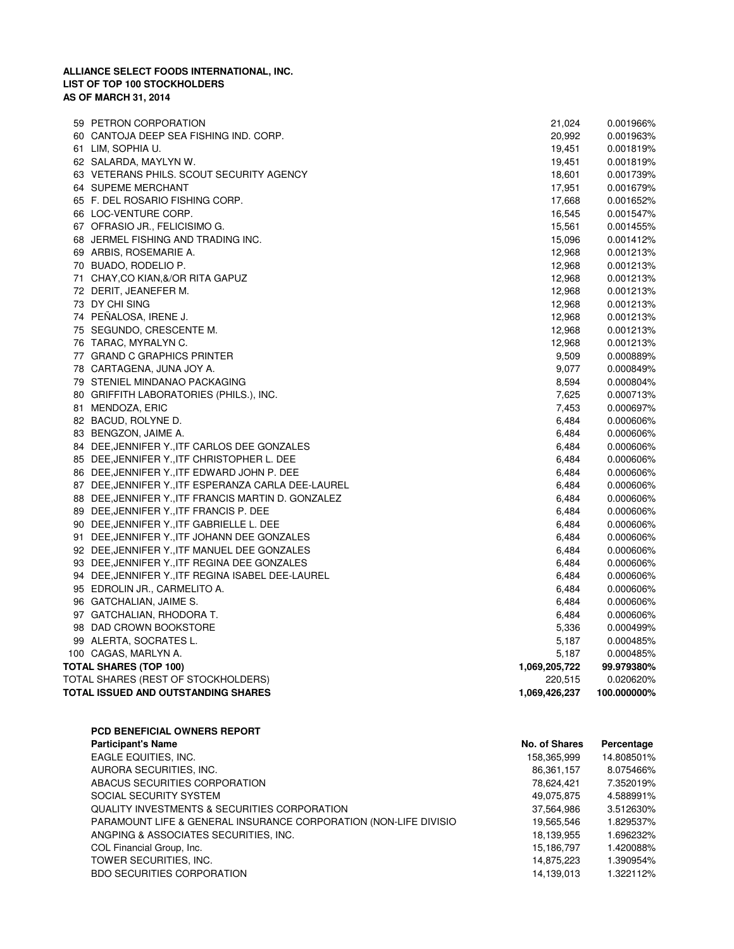| 59 PETRON CORPORATION                               | 21,024        | 0.001966%   |
|-----------------------------------------------------|---------------|-------------|
| 60 CANTOJA DEEP SEA FISHING IND. CORP.              | 20,992        | 0.001963%   |
| 61 LIM, SOPHIA U.                                   | 19,451        | 0.001819%   |
| 62 SALARDA, MAYLYN W.                               | 19,451        | 0.001819%   |
| 63 VETERANS PHILS. SCOUT SECURITY AGENCY            | 18,601        | 0.001739%   |
| 64 SUPEME MERCHANT                                  | 17,951        | 0.001679%   |
| 65 F. DEL ROSARIO FISHING CORP.                     | 17,668        | 0.001652%   |
| 66 LOC-VENTURE CORP.                                | 16,545        | 0.001547%   |
| 67 OFRASIO JR., FELICISIMO G.                       | 15,561        | 0.001455%   |
| 68 JERMEL FISHING AND TRADING INC.                  | 15,096        | 0.001412%   |
| 69 ARBIS, ROSEMARIE A.                              | 12,968        | 0.001213%   |
| 70 BUADO, RODELIO P.                                | 12,968        | 0.001213%   |
| 71 CHAY, CO KIAN, & / OR RITA GAPUZ                 | 12,968        | 0.001213%   |
| 72 DERIT, JEANEFER M.                               | 12,968        | 0.001213%   |
| 73 DY CHI SING                                      | 12,968        | 0.001213%   |
| 74 PEÑALOSA, IRENE J.                               | 12,968        | 0.001213%   |
| 75 SEGUNDO, CRESCENTE M.                            | 12,968        | 0.001213%   |
| 76 TARAC, MYRALYN C.                                | 12,968        | 0.001213%   |
| 77 GRAND C GRAPHICS PRINTER                         | 9,509         | 0.000889%   |
| 78 CARTAGENA, JUNA JOY A.                           | 9,077         | 0.000849%   |
| 79 STENIEL MINDANAO PACKAGING                       | 8,594         | 0.000804%   |
| 80 GRIFFITH LABORATORIES (PHILS.), INC.             | 7,625         | 0.000713%   |
| 81 MENDOZA, ERIC                                    | 7,453         | 0.000697%   |
| 82 BACUD, ROLYNE D.                                 | 6,484         | 0.000606%   |
| 83 BENGZON, JAIME A.                                | 6,484         | 0.000606%   |
| 84 DEE, JENNIFER Y., ITF CARLOS DEE GONZALES        | 6,484         | 0.000606%   |
| 85 DEE, JENNIFER Y., ITF CHRISTOPHER L. DEE         | 6,484         | 0.000606%   |
| 86 DEE, JENNIFER Y., ITF EDWARD JOHN P. DEE         | 6,484         | 0.000606%   |
| 87 DEE, JENNIFER Y., ITF ESPERANZA CARLA DEE-LAUREL | 6,484         | 0.000606%   |
| 88 DEE, JENNIFER Y., ITF FRANCIS MARTIN D. GONZALEZ | 6,484         | 0.000606%   |
| 89 DEE, JENNIFER Y., ITF FRANCIS P. DEE             | 6,484         | 0.000606%   |
| 90 DEE, JENNIFER Y., ITF GABRIELLE L. DEE           | 6,484         | 0.000606%   |
| 91 DEE, JENNIFER Y., ITF JOHANN DEE GONZALES        | 6,484         | 0.000606%   |
| 92 DEE, JENNIFER Y., ITF MANUEL DEE GONZALES        | 6,484         | 0.000606%   |
| 93 DEE, JENNIFER Y., ITF REGINA DEE GONZALES        | 6,484         | 0.000606%   |
| 94 DEE, JENNIFER Y., ITF REGINA ISABEL DEE-LAUREL   | 6,484         | 0.000606%   |
| 95 EDROLIN JR., CARMELITO A.                        | 6,484         | 0.000606%   |
| 96 GATCHALIAN, JAIME S.                             | 6,484         | 0.000606%   |
| 97 GATCHALIAN, RHODORA T.                           | 6,484         | 0.000606%   |
| 98 DAD CROWN BOOKSTORE                              | 5,336         | 0.000499%   |
| 99 ALERTA, SOCRATES L.                              | 5,187         | 0.000485%   |
| 100 CAGAS, MARLYN A.                                | 5,187         | 0.000485%   |
| <b>TOTAL SHARES (TOP 100)</b>                       | 1,069,205,722 | 99.979380%  |
| TOTAL SHARES (REST OF STOCKHOLDERS)                 | 220,515       | 0.020620%   |
| TOTAL ISSUED AND OUTSTANDING SHARES                 | 1,069,426,237 | 100.000000% |
|                                                     |               |             |

| <b>PCD BENEFICIAL OWNERS REPORT</b>                              |               |            |
|------------------------------------------------------------------|---------------|------------|
| <b>Participant's Name</b>                                        | No. of Shares | Percentage |
| EAGLE EQUITIES, INC.                                             | 158,365,999   | 14.808501% |
| AURORA SECURITIES, INC.                                          | 86,361,157    | 8.075466%  |
| ABACUS SECURITIES CORPORATION                                    | 78,624,421    | 7.352019%  |
| SOCIAL SECURITY SYSTEM                                           | 49,075,875    | 4.588991%  |
| <b>QUALITY INVESTMENTS &amp; SECURITIES CORPORATION</b>          | 37,564,986    | 3.512630%  |
| PARAMOUNT LIFE & GENERAL INSURANCE CORPORATION (NON-LIFE DIVISIO | 19,565,546    | 1.829537%  |
| ANGPING & ASSOCIATES SECURITIES, INC.                            | 18.139.955    | 1.696232%  |
| COL Financial Group, Inc.                                        | 15,186,797    | 1.420088%  |
| TOWER SECURITIES, INC.                                           | 14,875,223    | 1.390954%  |
| <b>BDO SECURITIES CORPORATION</b>                                | 14.139.013    | 1.322112%  |
|                                                                  |               |            |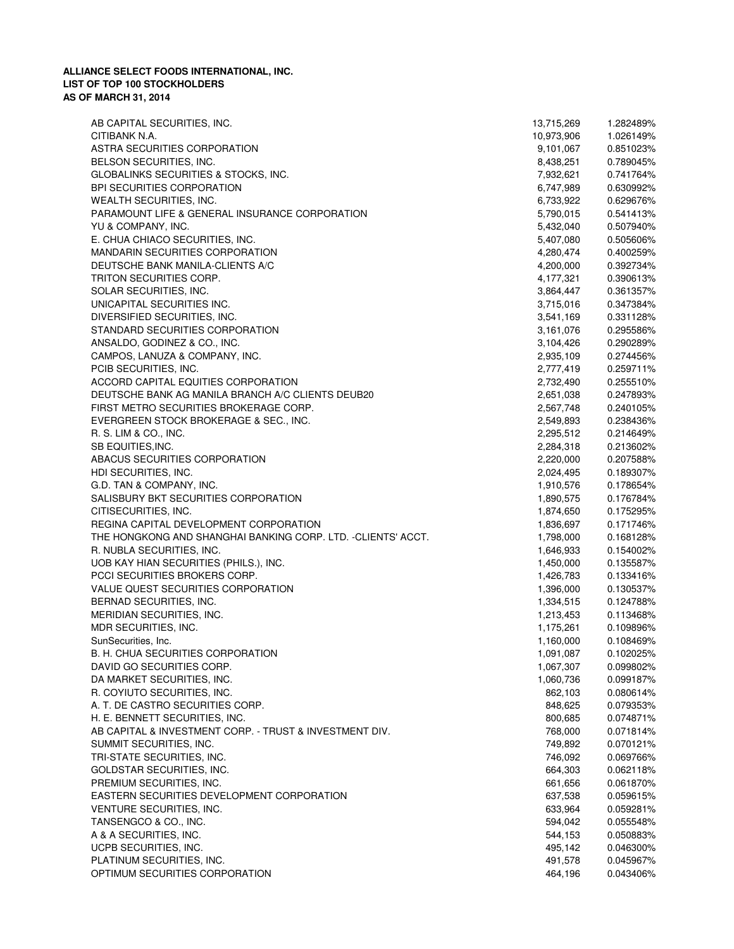| AB CAPITAL SECURITIES, INC.                                  | 13,715,269 | 1.282489% |
|--------------------------------------------------------------|------------|-----------|
| CITIBANK N.A.                                                | 10,973,906 | 1.026149% |
| ASTRA SECURITIES CORPORATION                                 | 9,101,067  | 0.851023% |
| BELSON SECURITIES, INC.                                      | 8,438,251  | 0.789045% |
| GLOBALINKS SECURITIES & STOCKS, INC.                         | 7,932,621  | 0.741764% |
| <b>BPI SECURITIES CORPORATION</b>                            | 6,747,989  | 0.630992% |
| WEALTH SECURITIES, INC.                                      | 6,733,922  | 0.629676% |
| PARAMOUNT LIFE & GENERAL INSURANCE CORPORATION               | 5,790,015  | 0.541413% |
| YU & COMPANY, INC.                                           | 5,432,040  | 0.507940% |
| E. CHUA CHIACO SECURITIES, INC.                              | 5,407,080  | 0.505606% |
| <b>MANDARIN SECURITIES CORPORATION</b>                       | 4,280,474  | 0.400259% |
| DEUTSCHE BANK MANILA-CLIENTS A/C                             | 4,200,000  | 0.392734% |
| TRITON SECURITIES CORP.                                      | 4,177,321  | 0.390613% |
| SOLAR SECURITIES, INC.                                       |            |           |
|                                                              | 3,864,447  | 0.361357% |
| UNICAPITAL SECURITIES INC.                                   | 3,715,016  | 0.347384% |
| DIVERSIFIED SECURITIES, INC.                                 | 3,541,169  | 0.331128% |
| STANDARD SECURITIES CORPORATION                              | 3,161,076  | 0.295586% |
| ANSALDO, GODINEZ & CO., INC.                                 | 3,104,426  | 0.290289% |
| CAMPOS, LANUZA & COMPANY, INC.                               | 2,935,109  | 0.274456% |
| PCIB SECURITIES, INC.                                        | 2,777,419  | 0.259711% |
| ACCORD CAPITAL EQUITIES CORPORATION                          | 2,732,490  | 0.255510% |
| DEUTSCHE BANK AG MANILA BRANCH A/C CLIENTS DEUB20            | 2,651,038  | 0.247893% |
| FIRST METRO SECURITIES BROKERAGE CORP.                       | 2,567,748  | 0.240105% |
| EVERGREEN STOCK BROKERAGE & SEC., INC.                       | 2,549,893  | 0.238436% |
| R. S. LIM & CO., INC.                                        | 2,295,512  | 0.214649% |
| SB EQUITIES, INC.                                            | 2,284,318  | 0.213602% |
| ABACUS SECURITIES CORPORATION                                | 2,220,000  | 0.207588% |
| HDI SECURITIES, INC.                                         | 2,024,495  | 0.189307% |
| G.D. TAN & COMPANY, INC.                                     | 1,910,576  | 0.178654% |
| SALISBURY BKT SECURITIES CORPORATION                         | 1,890,575  | 0.176784% |
| CITISECURITIES, INC.                                         | 1,874,650  | 0.175295% |
| REGINA CAPITAL DEVELOPMENT CORPORATION                       | 1,836,697  | 0.171746% |
| THE HONGKONG AND SHANGHAI BANKING CORP. LTD. -CLIENTS' ACCT. | 1,798,000  | 0.168128% |
| R. NUBLA SECURITIES, INC.                                    | 1,646,933  | 0.154002% |
| UOB KAY HIAN SECURITIES (PHILS.), INC.                       | 1,450,000  | 0.135587% |
| PCCI SECURITIES BROKERS CORP.                                | 1,426,783  | 0.133416% |
| VALUE QUEST SECURITIES CORPORATION                           | 1,396,000  | 0.130537% |
|                                                              |            |           |
| BERNAD SECURITIES, INC.                                      | 1,334,515  | 0.124788% |
| MERIDIAN SECURITIES, INC.                                    | 1,213,453  | 0.113468% |
| MDR SECURITIES, INC.                                         | 1,175,261  | 0.109896% |
| SunSecurities, Inc.                                          | 1,160,000  | 0.108469% |
| B. H. CHUA SECURITIES CORPORATION                            | 1,091,087  | 0.102025% |
| DAVID GO SECURITIES CORP.                                    | 1,067,307  | 0.099802% |
| DA MARKET SECURITIES, INC.                                   | 1,060,736  | 0.099187% |
| R. COYIUTO SECURITIES, INC.                                  | 862,103    | 0.080614% |
| A. T. DE CASTRO SECURITIES CORP.                             | 848,625    | 0.079353% |
| H. E. BENNETT SECURITIES, INC.                               | 800,685    | 0.074871% |
| AB CAPITAL & INVESTMENT CORP. - TRUST & INVESTMENT DIV.      | 768,000    | 0.071814% |
| SUMMIT SECURITIES, INC.                                      | 749,892    | 0.070121% |
| TRI-STATE SECURITIES, INC.                                   | 746,092    | 0.069766% |
| <b>GOLDSTAR SECURITIES, INC.</b>                             | 664,303    | 0.062118% |
| PREMIUM SECURITIES, INC.                                     | 661,656    | 0.061870% |
| EASTERN SECURITIES DEVELOPMENT CORPORATION                   | 637,538    | 0.059615% |
| VENTURE SECURITIES, INC.                                     | 633,964    | 0.059281% |
| TANSENGCO & CO., INC.                                        | 594,042    | 0.055548% |
| A & A SECURITIES, INC.                                       | 544,153    | 0.050883% |
| UCPB SECURITIES, INC.                                        | 495,142    | 0.046300% |
| PLATINUM SECURITIES, INC.                                    | 491,578    | 0.045967% |
| OPTIMUM SECURITIES CORPORATION                               | 464,196    | 0.043406% |
|                                                              |            |           |